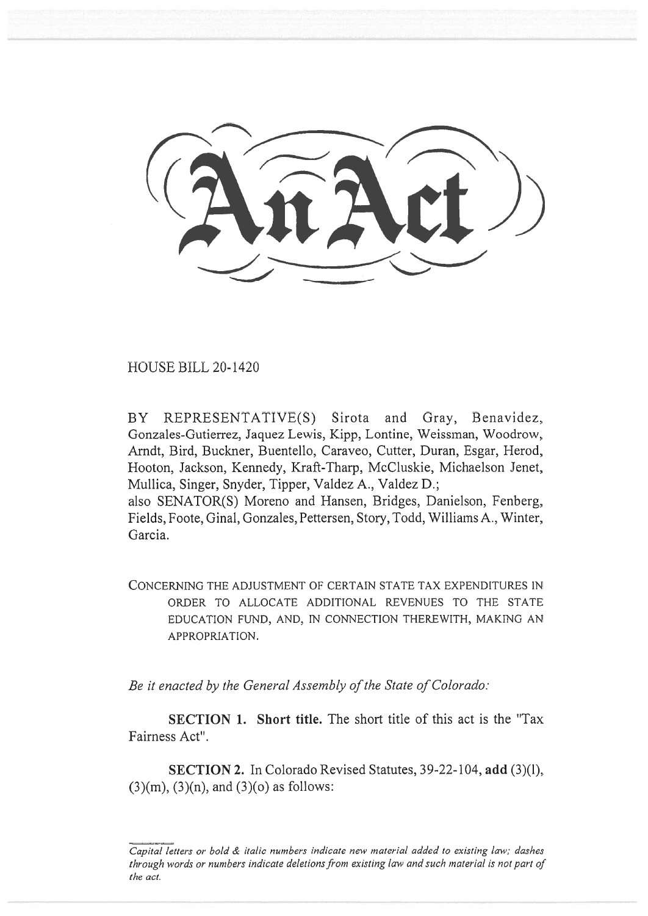HOUSE BILL 20-1420

BY REPRESENTATIVE(S) Sirota and Gray, Benavidez, Gonzales-Gutierrez, Jaquez Lewis, Kipp, Lontine, Weissman, Woodrow, Arndt, Bird, Buckner, Buentello, Caraveo, Cutter, Duran, Esgar, Herod, Hooton, Jackson, Kennedy, Kraft-Tharp, McCluskie, Michaelson Jenet, Mullica, Singer, Snyder, Tipper, Valdez A., Valdez **D.;**  also SENATOR(S) Moreno and Hansen, Bridges, Danielson, Fenberg, Fields, Foote, Ginal, Gonzales, Pettersen, Story, Todd, Williams A., Winter, Garcia.

CONCERNING THE ADJUSTMENT OF CERTAIN STATE TAX EXPENDITURES IN ORDER TO ALLOCATE ADDITIONAL REVENUES TO THE STATE EDUCATION FUND, AND, IN CONNECTION THEREWITH, MAKING AN APPROPRIATION.

*Be it enacted by the General Assembly of the State of Colorado:* 

**SECTION 1.** Short title. The short title of this act is the "Tax" Fairness Act".

**SECTION 2.** In Colorado Revised Statutes, 39-22-104, **add** (3)(1),  $(3)(m)$ ,  $(3)(n)$ , and  $(3)(o)$  as follows:

*Capital letters or bold & italic numbers indicate new material added to existing law; dashes through words or numbers indicate deletions from existing law and such material is not part of the act.*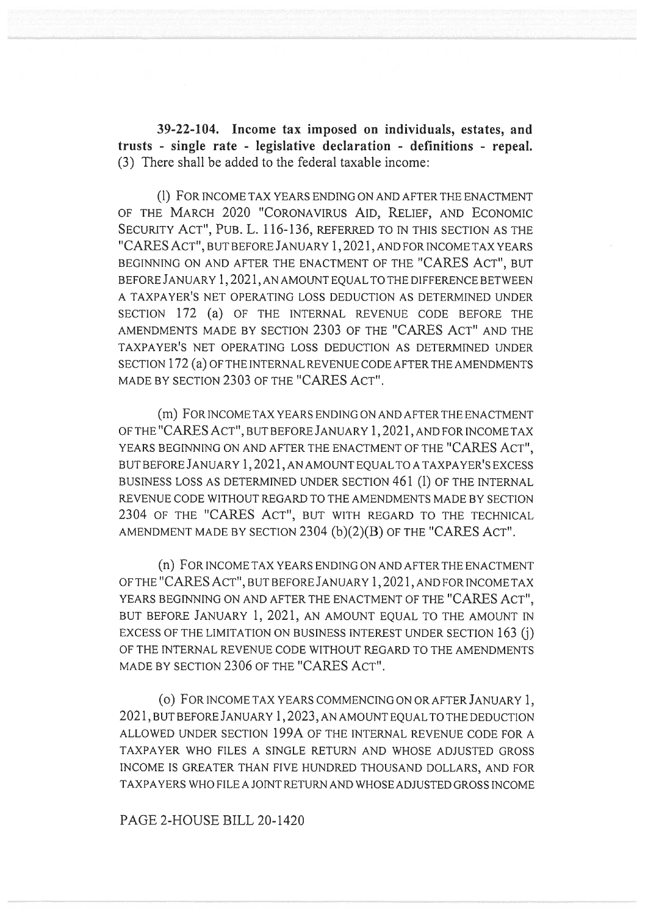**39-22-104. Income tax imposed on individuals, estates, and trusts - single rate - legislative declaration - definitions - repeal.**  (3) There shall be added to the federal taxable income:

(1) FOR INCOME TAX YEARS ENDING ON AND AFTER THE ENACTMENT OF THE MARCH 2020 "CORONAVIRUS AID, RELIEF, AND ECONOMIC SECURITY ACT", PUB. L. 116-136, REFERRED TO IN THIS SECTION AS THE "CARES ACT", BUT BEFORE JANUARY 1,2021, AND FOR INCOME TAX YEARS BEGINNING ON AND AFTER THE ENACTMENT OF THE "CARES ACT", BUT BEFORE JANUARY 1,2021, AN AMOUNT EQUAL TO THE DIFFERENCE BETWEEN A TAXPAYER'S NET OPERATING LOSS DEDUCTION AS DETERMINED UNDER SECTION 172 (a) OF THE INTERNAL REVENUE CODE BEFORE THE AMENDMENTS MADE BY SECTION 2303 OF THE "CARES ACT" AND THE TAXPAYER'S NET OPERATING LOSS DEDUCTION AS DETERMINED UNDER SECTION 172 (a) OF THE INTERNAL REVENUE CODE AFTER THE AMENDMENTS MADE BY SECTION 2303 OF THE "CARES ACT".

(m) FOR INCOME TAX YEARS ENDING ON AND AFTER THE ENACTMENT OF THE "CARES ACT", BUT BEFORE JANUARY 1,2021, AND FOR INCOME TAX YEARS BEGINNING ON AND AFTER THE ENACTMENT OF THE "CARES ACT", BUT BEFORE JANUARY 1,2021, AN AMOUNT EQUAL TO A TAXPAYER'S EXCESS BUSINESS LOSS AS DETERMINED UNDER SECTION 461 (1) OF THE INTERNAL REVENUE CODE WITHOUT REGARD TO THE AMENDMENTS MADE BY SECTION 2304 OF THE "CARES ACT", BUT WITH REGARD TO THE TECHNICAL AMENDMENT MADE BY SECTION 2304 (b)(2)(B) OF THE "CARES ACT".

(n) FOR INCOME TAX YEARS ENDING ON AND AFTER THE ENACTMENT OF THE "CARES ACT", BUT BEFORE JANUARY 1,2021, AND FOR INCOME TAX YEARS BEGINNING ON AND AFTER THE ENACTMENT OF THE "CARES ACT", BUT BEFORE JANUARY 1, 2021, AN AMOUNT EQUAL TO THE AMOUNT IN EXCESS OF THE LIMITATION ON BUSINESS INTEREST UNDER SECTION 163 (j) OF THE INTERNAL REVENUE CODE WITHOUT REGARD TO THE AMENDMENTS MADE BY SECTION 2306 OF THE "CARES ACT".

(o) FOR INCOME TAX YEARS COMMENCING ON OR AFTER JANUARY 1, 2021, BUT BEFORE JANUARY 1,2023, AN AMOUNT EQUAL TO THE DEDUCTION ALLOWED UNDER SECTION 199A OF THE INTERNAL REVENUE CODE FOR A TAXPAYER WHO FILES A SINGLE RETURN AND WHOSE ADJUSTED GROSS INCOME IS GREATER THAN FIVE HUNDRED THOUSAND DOLLARS, AND FOR TAXPAYERS WHO FILE A JOINT RETURN AND WHOSE ADJUSTED GROSS INCOME

PAGE 2-HOUSE BILL 20-1420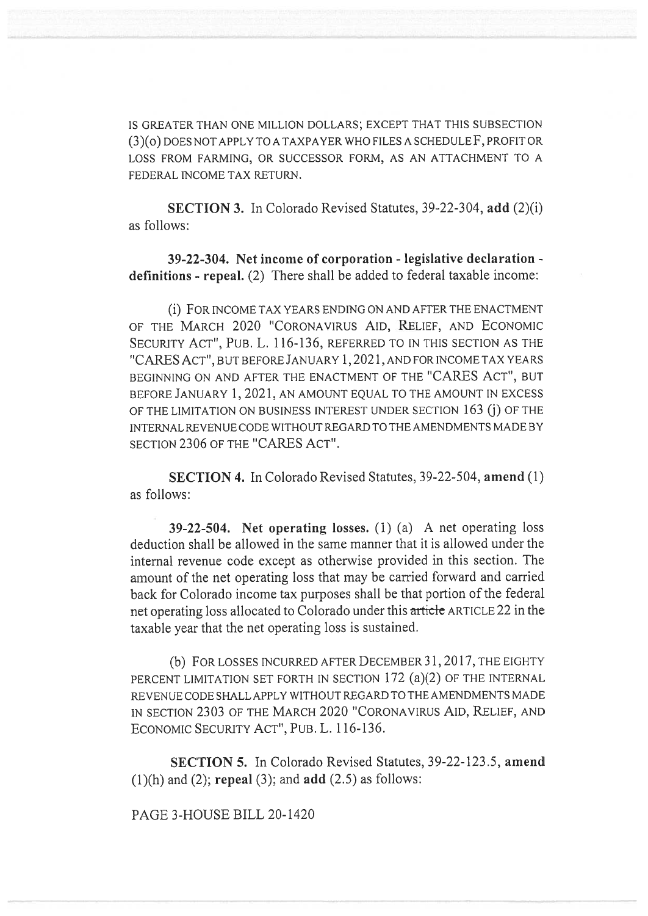IS GREATER THAN ONE MILLION DOLLARS; EXCEPT THAT THIS SUBSECTION (3)(o) DOES NOT APPLY TO A TAXPAYER WHO FILES A SCHEDULE F, PROFIT OR LOSS FROM FARMING, OR SUCCESSOR FORM, AS AN ATTACHMENT TO A FEDERAL INCOME TAX RETURN.

**SECTION 3.** In Colorado Revised Statutes, 39-22-304, **add** (2)(i) as follows:

**39-22-304. Netincome of corporation - legislative declaration definitions - repeal.** (2) There shall be added to federal taxable income:

(i) FOR INCOME TAX YEARS ENDING ON AND AFTER THE ENACTMENT OF THE MARCH 2020 "CORONAVIRUS AID, RELIEF, AND ECONOMIC SECURITY ACT", PUB. L. 116-136, REFERRED TO IN THIS SECTION AS THE "CARES ACT", BUT BEFORE JANUARY 1,2021, AND FOR INCOME TAX YEARS BEGINNING ON AND AFTER THE ENACTMENT OF THE "CARES ACT", BUT BEFORE JANUARY 1, 2021, AN AMOUNT EQUAL TO THE AMOUNT IN EXCESS OF THE LIMITATION ON BUSINESS INTEREST UNDER SECTION 163 (j) OF THE INTERNAL REVENUE CODE WITHOUT REGARD TO THE AMENDMENTS MADE BY SECTION 2306 OF THE "CARES ACT".

**SECTION 4.** In Colorado Revised Statutes, 39-22-504, **amend** (1) as follows:

**39-22-504.** Net operating losses. (1) (a) A net operating loss deduction shall be allowed in the same manner that it is allowed under the internal revenue code except as otherwise provided in this section. The amount of the net operating loss that may be carried forward and carried back for Colorado income tax purposes shall be that portion of the federal net operating loss allocated to Colorado under this article ARTICLE 22 in the taxable year that the net operating loss is sustained.

(b) FOR LOSSES INCURRED AFTER DECEMBER 31, 2017, THE EIGHTY PERCENT LIMITATION SET FORTH IN SECTION 172 (a)(2) OF THE INTERNAL REVENUE CODE SHALL APPLY WITHOUT REGARD TO THE AMENDMENTS MADE IN SECTION 2303 OF THE MARCH 2020 "CORONAVIRUS AID, RELIEF, AND ECONOMIC SECURITY ACT", PUB. L. 116-136.

**SECTION 5.** In Colorado Revised Statutes, 39-22-123.5, **amend**  (1)(h) and (2); **repeal** (3); and **add** (2.5) as follows:

PAGE 3-HOUSE BILL 20-1420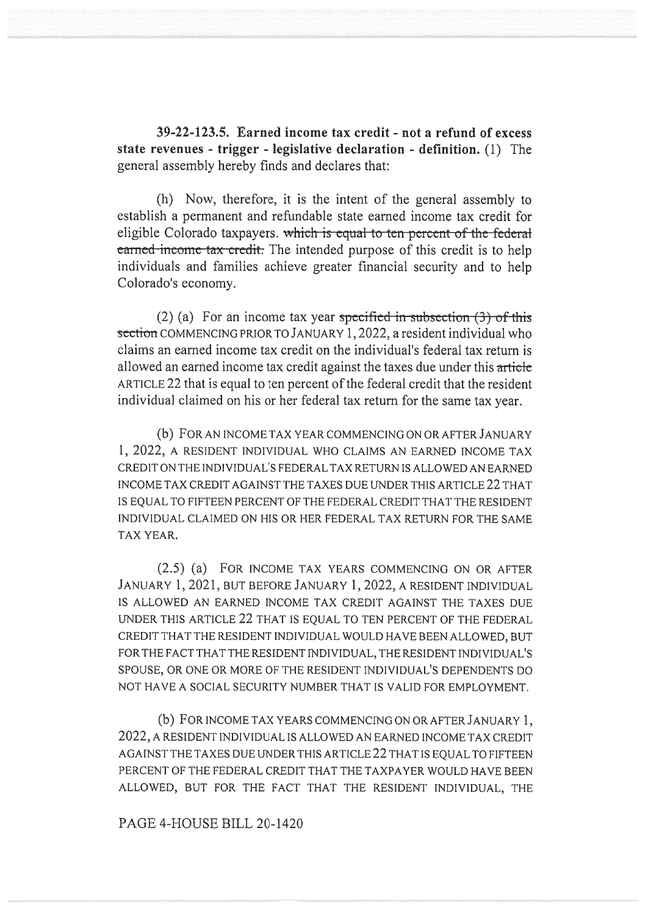**39-22-123.5. Earned income tax credit - not a refund of excess state revenues - trigger - legislative declaration - definition.** (1) The general assembly hereby finds and declares that:

(h) Now, therefore, it is the intent of the general assembly to establish a permanent and refundable state earned income tax credit for eligible Colorado taxpayers. which is equal-to-ten-percent-of-the-federal earned income tax credit. The intended purpose of this credit is to help individuals and families achieve greater financial security and to help Colorado's economy.

(2) (a) For an income tax year specified in subsection  $(3)$  of this section COMMENCING PRIOR TO JANUARY 1, 2022, a resident individual who claims an earned income tax credit on the individual's federal tax return is allowed an earned income tax credit against the taxes due under this article ARTICLE 22 that is equal to ten percent of the federal credit that the resident individual claimed on his or her federal tax return for the same tax year.

(b) FOR AN INCOME TAX YEAR COMMENCING ON OR AFTER JANUARY 1, 2022, A RESIDENT INDIVIDUAL WHO CLAIMS AN EARNED INCOME TAX CREDIT ON THE INDIVIDUAL'S FEDERAL TAX RETURN IS ALLOWED AN EARNED INCOME TAX CREDIT AGAINST THE TAXES DUE UNDER THIS ARTICLE 22 THAT IS EQUAL TO FIFTEEN PERCENT OF THE FEDERAL CREDIT THAT THE RESIDENT INDIVIDUAL CLAIMED ON HIS OR HER FEDERAL TAX RETURN FOR THE SAME TAX YEAR.

(2.5) (a) FOR INCOME TAX YEARS COMMENCING ON OR AFTER JANUARY 1, 2021, BUT BEFORE JANUARY 1, 2022, A RESIDENT INDIVIDUAL IS ALLOWED AN EARNED INCOME TAX CREDIT AGAINST THE TAXES DUE UNDER THIS ARTICLE 22 THAT IS EQUAL TO TEN PERCENT OF THE FEDERAL CREDIT THAT THE RESIDENT INDIVIDUAL WOULD HAVE BEEN ALLOWED, BUT FOR THE FACT THAT THE RESIDENT INDIVIDUAL, THE RESIDENT INDIVIDUAL'S SPOUSE, OR ONE OR MORE OF THE RESIDENT INDIVIDUAL'S DEPENDENTS DO NOT HAVE A SOCIAL SECURITY NUMBER THAT IS VALID FOR EMPLOYMENT.

(b) FOR INCOME TAX YEARS COMMENCING ON OR AFTER JANUARY 1, 2022, A RESIDENT INDIVIDUAL IS ALLOWED AN EARNED INCOME TAX CREDIT AGAINST THE TAXES DUE UNDER THIS ARTICLE 22 THAT IS EQUAL TO FIFTEEN PERCENT OF THE FEDERAL CREDIT THAT THE TAXPAYER WOULD HAVE BEEN ALLOWED, BUT FOR THE FACT THAT THE RESIDENT INDIVIDUAL, THE

## PAGE 4-HOUSE BILL 20-1420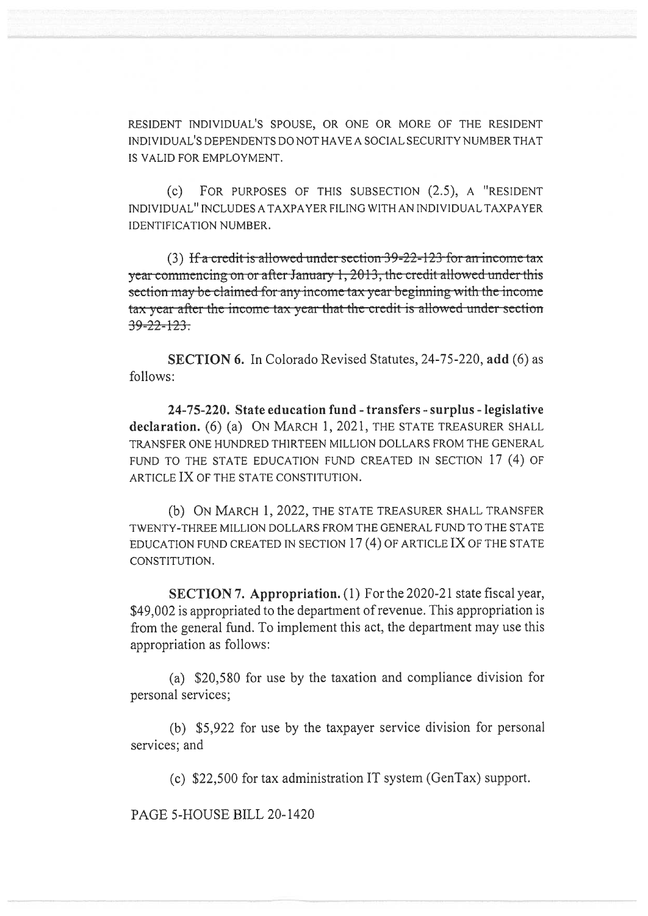RESIDENT INDIVIDUAL'S SPOUSE, OR ONE OR MORE OF THE RESIDENT INDIVIDUAL'S DEPENDENTS DO NOT HAVE A SOCIAL SECURITY NUMBER THAT IS VALID FOR EMPLOYMENT.

(c) FOR PURPOSES OF THIS SUBSECTION (2.5), A "RESIDENT INDIVIDUAL" INCLUDES A TAXPAYER FILING WITH AN INDIVIDUAL TAXPAYER IDENTIFICATION NUMBER.

(3) If a credit is allowed under section  $39-22-123$  for an income tax year commencing on or after January 1, 2013, the credit allowed under this section may be claimed for any income tax year beginning with the income tax year after the income tax year that the credit is allowed under section  $39 - 22 - 123$ 

**SECTION 6.** In Colorado Revised Statutes, 24-75-220, **add** (6) as follows:

**24-75-220. State education fund - transfers - surplus - legislative**  declaration. **(6)** (a) ON MARCH 1, 2021, THE STATE TREASURER SHALL TRANSFER ONE HUNDRED THIRTEEN MILLION DOLLARS FROM THE GENERAL FUND TO THE STATE EDUCATION FUND CREATED IN SECTION 17 (4) OF ARTICLE IX OF THE STATE CONSTITUTION.

(b) ON MARCH 1, 2022, THE STATE TREASURER SHALL TRANSFER TWENTY-THREE MILLION DOLLARS FROM THE GENERAL FUND TO THE STATE EDUCATION FUND CREATED IN SECTION 17 (4) OF ARTICLE IX OF THE STATE CONSTITUTION.

**SECTION 7. Appropriation.** (1) For the 2020-21 state fiscal year, \$49,002 is appropriated to the department of revenue. This appropriation is from the general fund. To implement this act, the department may use this appropriation as follows:

(a) \$20,580 for use by the taxation and compliance division for personal services;

(b) \$5,922 for use by the taxpayer service division for personal services; and

(c) \$22,500 for tax administration IT system (GenTax) support.

PAGE 5-HOUSE BILL 20-1420